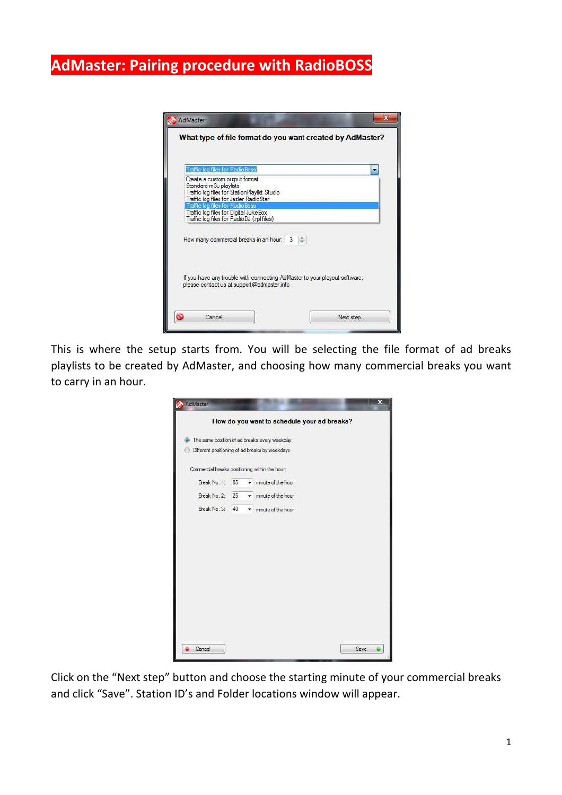## **AdMaster: Pairing procedure with RadioBOSS**

| Traffic log files for RadioBoss                                                                                      | ۰                          |
|----------------------------------------------------------------------------------------------------------------------|----------------------------|
| Create a custom output format                                                                                        |                            |
| Standard m3u playlists                                                                                               |                            |
| Traffic log files for Station Playlist Studio                                                                        |                            |
| Traffic log files for Jazler RadioStar<br>Traffic log files for RadioBoss                                            |                            |
| Traffic log files for Digital JukeBox<br>Traffic log files for RadioDJ (.rpl files)                                  |                            |
| How many commercial breaks in an hour:<br>If you have any trouble with connecting AdMaster to your playout software, | $\frac{\star}{\star}$<br>3 |

This is where the setup starts from. You will be selecting the file format of ad breaks playlists to be created by AdMaster, and choosing how many commercial breaks you want to carry in an hour.

| AdMaster                                       |    |   | $\mathbf x$                                    |
|------------------------------------------------|----|---|------------------------------------------------|
|                                                |    |   | How do you want to schedule your ad breaks?    |
| $\odot$                                        |    |   | The same position of ad breaks every weekday   |
|                                                |    |   | Different positioning of ad breaks by weekdays |
| Commercial breaks positioning within the hour: |    |   |                                                |
| Break No. 1:                                   | 05 |   | minute of the hour                             |
| Break No. 2:                                   | 25 | ▼ | minute of the hour                             |
| Break No. 3:                                   | 40 |   | minute of the hour                             |
|                                                |    |   |                                                |
|                                                |    |   |                                                |
|                                                |    |   |                                                |
|                                                |    |   |                                                |
|                                                |    |   |                                                |
|                                                |    |   |                                                |
|                                                |    |   |                                                |
|                                                |    |   |                                                |
|                                                |    |   |                                                |
| Cancel                                         |    |   | Save                                           |

Click on the "Next step" button and choose the starting minute of your commercial breaks and click "Save". Station ID's and Folder locations window will appear.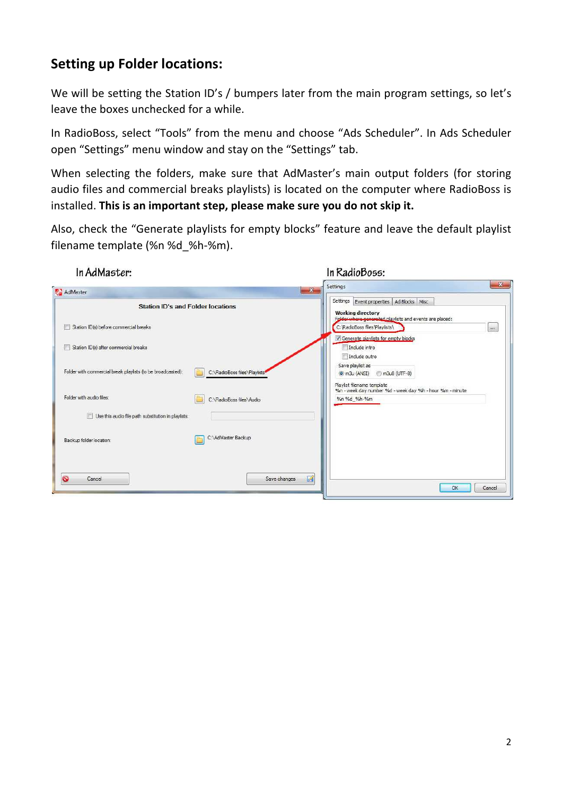## **Setting up Folder locations:**

We will be setting the Station ID's / bumpers later from the main program settings, so let's leave the boxes unchecked for a while.

In RadioBoss, select "Tools" from the menu and choose "Ads Scheduler". In Ads Scheduler open "Settings" menu window and stay on the "Settings" tab.

When selecting the folders, make sure that AdMaster's main output folders (for storing audio files and commercial breaks playlists) is located on the computer where RadioBoss is installed. **This is an important step, please make sure you do not skip it.**

Also, check the "Generate playlists for empty blocks" feature and leave the default playlist filename template (%n %d\_%h-%m).

| In AdMaster:                                                                                 | In RadioBoss:                                                                            | $-x$                    |
|----------------------------------------------------------------------------------------------|------------------------------------------------------------------------------------------|-------------------------|
| AdMaster                                                                                     | Settings<br>$\mathbf{x}$                                                                 |                         |
| <b>Station ID's and Folder locations</b>                                                     | Settings Event properties   Ad Blocks   Misc<br><b>Working directory</b>                 |                         |
| Station ID(s) before commercial breaks<br>F                                                  | Folder where generated playlists and events are placed:<br>C:\RadioBoss files\Playlists\ | $\overline{\mathbf{1}}$ |
| Station ID(s) after commercial breaks<br><b>Alla</b>                                         | V Generate playlists for empty blocks<br>Include intro<br>Include outro                  |                         |
| Folder with commercial break playlists (to be broadcasted):<br>C:\RadioBoss files\Playlists' | Save playlist as<br>m3u8 (UTF-8)<br>$\odot$ m3u (ANSI)<br>Playlist filename template     |                         |
| Folder with audio files:<br>C:\RadioBoss files\Audio                                         | %n - week day number %d - week day %h - hour %m - minute<br>%n %d %h-%m                  |                         |
| Use this audio file path substitution in playlists:                                          |                                                                                          |                         |
| C:\AdMaster Backup<br>Backup folder location:                                                |                                                                                          |                         |
| G<br>Cancel<br>Save changes                                                                  | 國                                                                                        | <b>OK</b><br>Cancel     |

2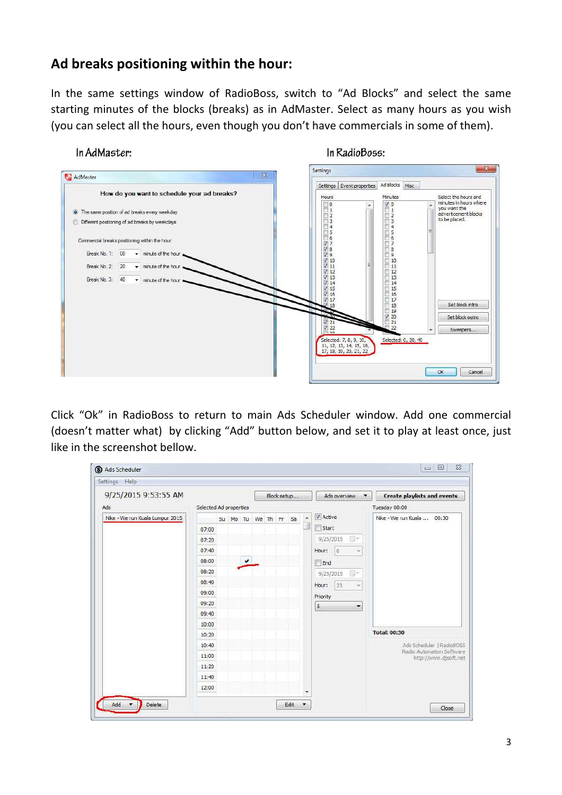## **Ad breaks positioning within the hour:**

In the same settings window of RadioBoss, switch to "Ad Blocks" and select the same starting minutes of the blocks (breaks) as in AdMaster. Select as many hours as you wish (you can select all the hours, even though you don't have commercials in some of them).

## In AdMaster:

In RadioBoss:



Click "Ok" in RadioBoss to return to main Ads Scheduler window. Add one commercial (doesn't matter what) by clicking "Add" button below, and set it to play at least once, just like in the screenshot bellow.

| Settings Help                   |                        |              |  |  |  |             |    |           |          |                 |                                         |                                                    |  |  |  |
|---------------------------------|------------------------|--------------|--|--|--|-------------|----|-----------|----------|-----------------|-----------------------------------------|----------------------------------------------------|--|--|--|
| 9/25/2015 9:53:55 AM            |                        |              |  |  |  | Block setup |    |           |          | Ads overview    | <b>Create playlists and events</b><br>× |                                                    |  |  |  |
| Ads                             | Selected Ad properties |              |  |  |  |             |    |           |          |                 | Tuesday 08:00                           |                                                    |  |  |  |
| Nike - We run Kuala Lumpur 2015 | Su Mo Tu We Th Fr      |              |  |  |  |             | Sa | ۸         | V Active |                 | Nike - We run Kuala  00:30              |                                                    |  |  |  |
|                                 | 07:00                  |              |  |  |  |             |    |           |          | Start           |                                         |                                                    |  |  |  |
|                                 | 07:20                  |              |  |  |  |             |    | 9/25/2015 | U+       |                 |                                         |                                                    |  |  |  |
|                                 | 07:40                  |              |  |  |  |             |    |           |          | Hour:           | Ð<br>$\overline{\phantom{a}}$           |                                                    |  |  |  |
|                                 | 08:00                  | $\checkmark$ |  |  |  |             |    | End       |          |                 |                                         |                                                    |  |  |  |
|                                 | 08:20                  |              |  |  |  |             |    |           |          | U-<br>9/25/2015 |                                         |                                                    |  |  |  |
|                                 | 08:40                  |              |  |  |  |             |    |           |          | Hour:           | 23<br>$\overline{\phantom{a}}$          |                                                    |  |  |  |
|                                 | 09:00                  |              |  |  |  |             |    |           |          | Priority        |                                         |                                                    |  |  |  |
|                                 | 09:20                  |              |  |  |  |             |    |           |          | 5               | $\overline{\phantom{a}}$                |                                                    |  |  |  |
|                                 | 09:40                  |              |  |  |  |             |    |           |          |                 |                                         |                                                    |  |  |  |
|                                 | 10:00                  |              |  |  |  |             |    |           |          |                 |                                         |                                                    |  |  |  |
|                                 | 10:20                  |              |  |  |  |             |    |           |          |                 |                                         | <b>Total: 00:30</b>                                |  |  |  |
|                                 | 10:40                  |              |  |  |  |             |    |           |          |                 |                                         | Ads Scheduler   RadioBOSS                          |  |  |  |
|                                 | 11:00                  |              |  |  |  |             |    |           |          |                 |                                         | Radio Automation Software<br>http://www.djsoft.net |  |  |  |
|                                 | 11:20                  |              |  |  |  |             |    |           |          |                 |                                         |                                                    |  |  |  |
|                                 | 11:40                  |              |  |  |  |             |    |           |          |                 |                                         |                                                    |  |  |  |
|                                 | 12:00                  |              |  |  |  |             |    |           |          |                 |                                         |                                                    |  |  |  |